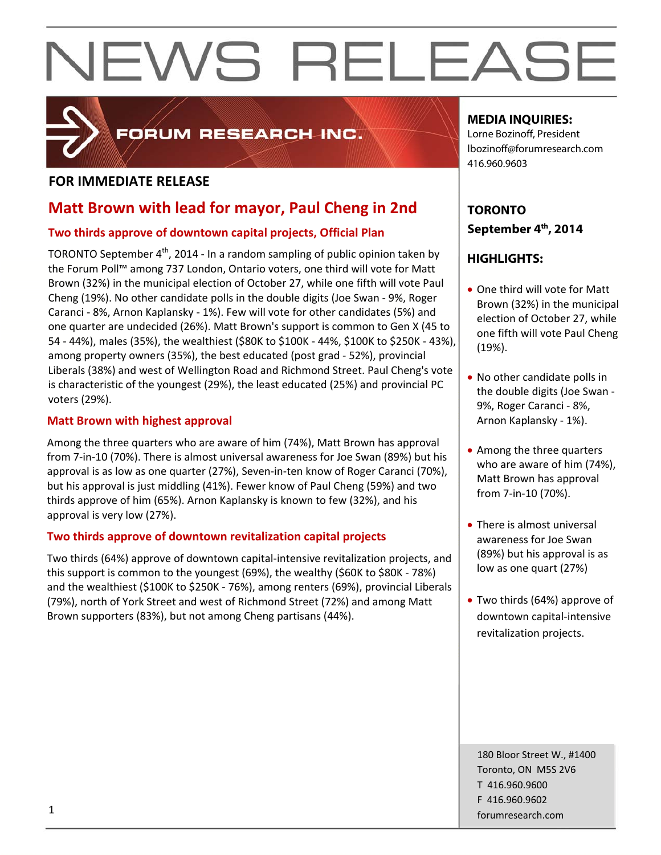

## FORUM RESEARCH INC.

## **FOR IMMEDIATE RELEASE**

## **Matt Brown with lead for mayor, Paul Cheng in 2nd**

## **Two thirds approve of downtown capital projects, Official Plan**

TORONTO September 4<sup>th</sup>, 2014 - In a random sampling of public opinion taken by the Forum Poll™ among 737 London, Ontario voters, one third will vote for Matt Brown (32%) in the municipal election of October 27, while one fifth will vote Paul Cheng (19%). No other candidate polls in the double digits (Joe Swan ‐ 9%, Roger Caranci ‐ 8%, Arnon Kaplansky ‐ 1%). Few will vote for other candidates (5%) and one quarter are undecided (26%). Matt Brown's support is common to Gen X (45 to 54 ‐ 44%), males (35%), the wealthiest (\$80K to \$100K ‐ 44%, \$100K to \$250K ‐ 43%), among property owners (35%), the best educated (post grad ‐ 52%), provincial Liberals (38%) and west of Wellington Road and Richmond Street. Paul Cheng's vote is characteristic of the youngest (29%), the least educated (25%) and provincial PC voters (29%).

## **Matt Brown with highest approval**

Among the three quarters who are aware of him (74%), Matt Brown has approval from 7‐in‐10 (70%). There is almost universal awareness for Joe Swan (89%) but his approval is as low as one quarter (27%), Seven‐in‐ten know of Roger Caranci (70%), but his approval is just middling (41%). Fewer know of Paul Cheng (59%) and two thirds approve of him (65%). Arnon Kaplansky is known to few (32%), and his approval is very low (27%).

## **Two thirds approve of downtown revitalization capital projects**

Two thirds (64%) approve of downtown capital‐intensive revitalization projects, and this support is common to the youngest (69%), the wealthy (\$60K to \$80K ‐ 78%) and the wealthiest (\$100K to \$250K ‐ 76%), among renters (69%), provincial Liberals (79%), north of York Street and west of Richmond Street (72%) and among Matt Brown supporters (83%), but not among Cheng partisans (44%).

## **MEDIA INQUIRIES:**

Lorne Bozinoff, President lbozinoff@forumresearch.com 416.960.9603

## **TORONTO September 4th, 2014**

## **HIGHLIGHTS:**

- One third will vote for Matt Brown (32%) in the municipal election of October 27, while one fifth will vote Paul Cheng (19%).
- No other candidate polls in the double digits (Joe Swan ‐ 9%, Roger Caranci ‐ 8%, Arnon Kaplansky ‐ 1%).
- Among the three quarters who are aware of him (74%), Matt Brown has approval from 7‐in‐10 (70%).
- There is almost universal awareness for Joe Swan (89%) but his approval is as low as one quart (27%)
- Two thirds (64%) approve of downtown capital‐intensive revitalization projects.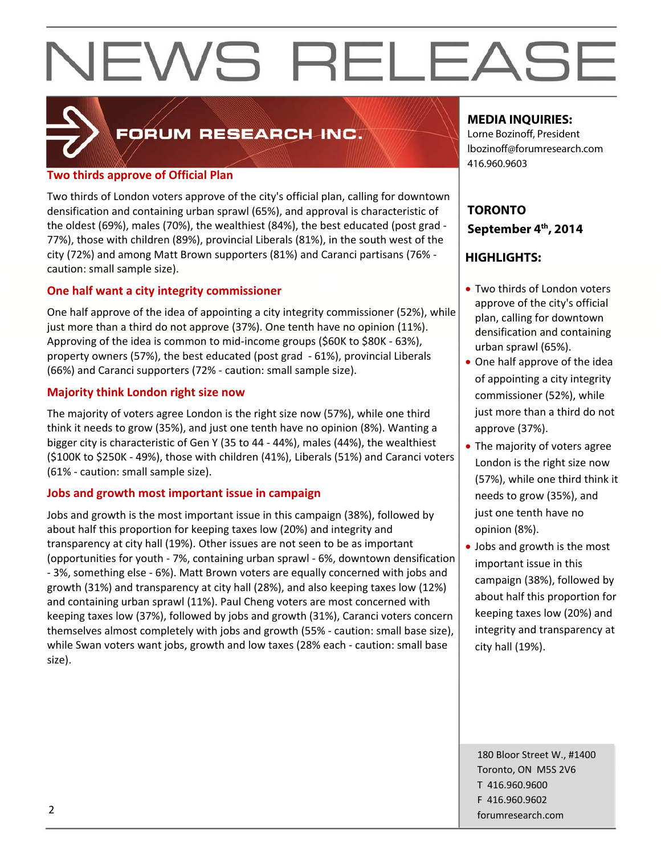## FORUM RESEARCH INC.

## **Two thirds approve of Official Plan**

Two thirds of London voters approve of the city's official plan, calling for downtown densification and containing urban sprawl (65%), and approval is characteristic of the oldest (69%), males (70%), the wealthiest (84%), the best educated (post grad ‐ 77%), those with children (89%), provincial Liberals (81%), in the south west of the city (72%) and among Matt Brown supporters (81%) and Caranci partisans (76% ‐ caution: small sample size).

## **One half want a city integrity commissioner**

One half approve of the idea of appointing a city integrity commissioner (52%), while just more than a third do not approve (37%). One tenth have no opinion (11%). Approving of the idea is common to mid‐income groups (\$60K to \$80K ‐ 63%), property owners (57%), the best educated (post grad ‐ 61%), provincial Liberals (66%) and Caranci supporters (72% ‐ caution: small sample size).

## **Majority think London right size now**

The majority of voters agree London is the right size now (57%), while one third think it needs to grow (35%), and just one tenth have no opinion (8%). Wanting a bigger city is characteristic of Gen Y (35 to 44 ‐ 44%), males (44%), the wealthiest (\$100K to \$250K ‐ 49%), those with children (41%), Liberals (51%) and Caranci voters (61% ‐ caution: small sample size).

## **Jobs and growth most important issue in campaign**

Jobs and growth is the most important issue in this campaign (38%), followed by about half this proportion for keeping taxes low (20%) and integrity and transparency at city hall (19%). Other issues are not seen to be as important (opportunities for youth ‐ 7%, containing urban sprawl ‐ 6%, downtown densification ‐ 3%, something else ‐ 6%). Matt Brown voters are equally concerned with jobs and growth (31%) and transparency at city hall (28%), and also keeping taxes low (12%) and containing urban sprawl (11%). Paul Cheng voters are most concerned with keeping taxes low (37%), followed by jobs and growth (31%), Caranci voters concern themselves almost completely with jobs and growth (55% ‐ caution: small base size), while Swan voters want jobs, growth and low taxes (28% each ‐ caution: small base size).

## **MEDIA INQUIRIES:**

Lorne Bozinoff, President lbozinoff@forumresearch.com 416.960.9603

## **TORONTO September 4th, 2014**

## **HIGHLIGHTS:**

- Two thirds of London voters approve of the city's official plan, calling for downtown densification and containing urban sprawl (65%).
- One half approve of the idea of appointing a city integrity commissioner (52%), while just more than a third do not approve (37%).
- The majority of voters agree London is the right size now (57%), while one third think it needs to grow (35%), and just one tenth have no opinion (8%).
- Jobs and growth is the most important issue in this campaign (38%), followed by about half this proportion for keeping taxes low (20%) and integrity and transparency at city hall (19%).

180 Bloor Street W., #1400 Toronto, ON M5S 2V6 T 416.960.9600 F 416.960.9602 example to the contract of the contract of the contract of the contract of the contract of the contract of the contract of the contract of the contract of the contract of the contract of the contract of the contract of the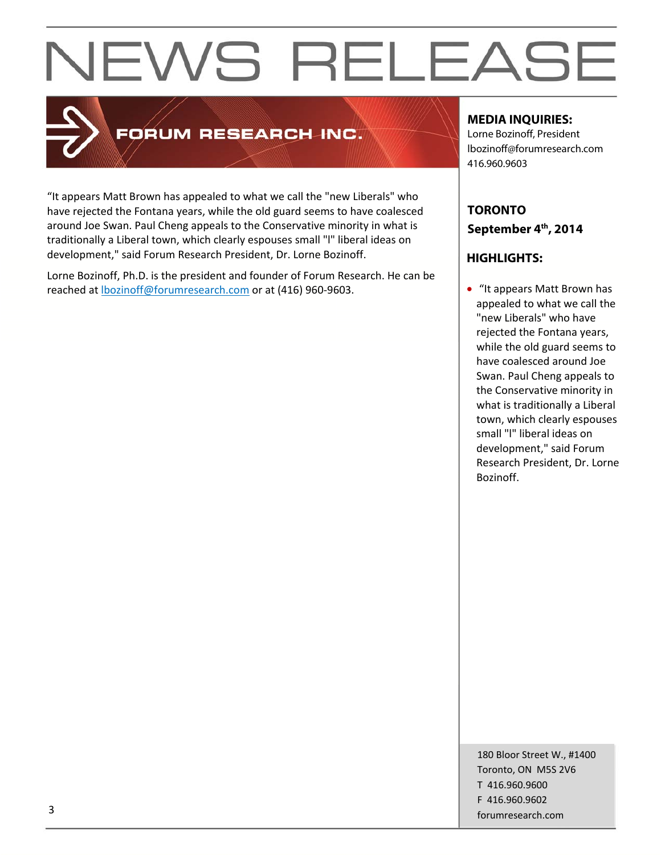

## **FORUM RESEARCH INC.**

"It appears Matt Brown has appealed to what we call the "new Liberals" who have rejected the Fontana years, while the old guard seems to have coalesced around Joe Swan. Paul Cheng appeals to the Conservative minority in what is traditionally a Liberal town, which clearly espouses small "l" liberal ideas on development," said Forum Research President, Dr. Lorne Bozinoff.

Lorne Bozinoff, Ph.D. is the president and founder of Forum Research. He can be reached at **lbozinoff@forumresearch.com** or at (416) 960-9603.

## **MEDIA INQUIRIES:**

Lorne Bozinoff, President lbozinoff@forumresearch.com 416.960.9603

## **TORONTO September 4th, 2014**

## **HIGHLIGHTS:**

 "It appears Matt Brown has appealed to what we call the "new Liberals" who have rejected the Fontana years, while the old guard seems to have coalesced around Joe Swan. Paul Cheng appeals to the Conservative minority in what is traditionally a Liberal town, which clearly espouses small "l" liberal ideas on development," said Forum Research President, Dr. Lorne Bozinoff.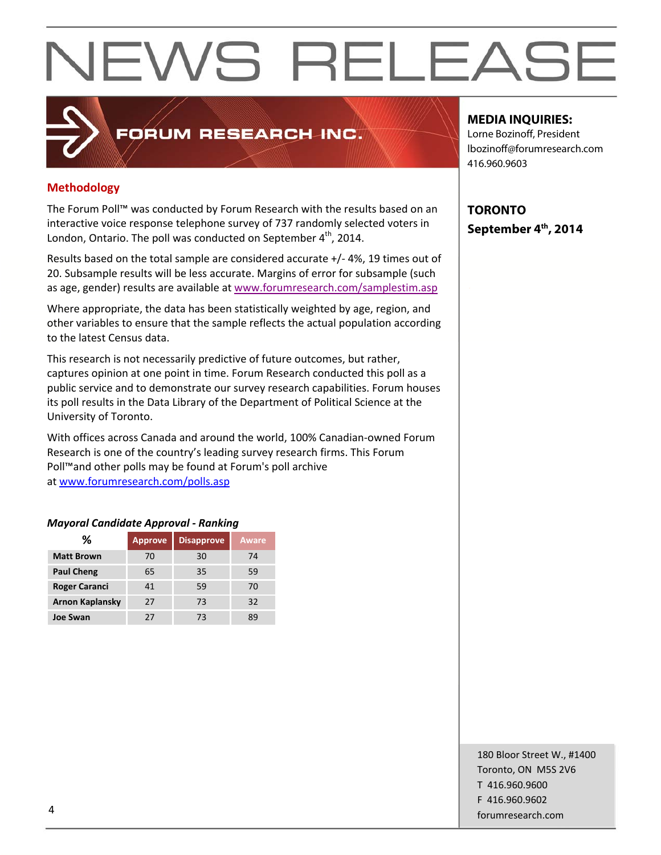## **Methodology**

The Forum Poll™ was conducted by Forum Research with the results based on an interactive voice response telephone survey of 737 randomly selected voters in London, Ontario. The poll was conducted on September 4<sup>th</sup>, 2014.

FORUM RESEARCH INC.

Results based on the total sample are considered accurate +/‐ 4%, 19 times out of 20. Subsample results will be less accurate. Margins of error for subsample (such as age, gender) results are available at www.forumresearch.com/samplestim.asp

Where appropriate, the data has been statistically weighted by age, region, and other variables to ensure that the sample reflects the actual population according to the latest Census data.

This research is not necessarily predictive of future outcomes, but rather, captures opinion at one point in time. Forum Research conducted this poll as a public service and to demonstrate our survey research capabilities. Forum houses its poll results in the Data Library of the Department of Political Science at the University of Toronto.

With offices across Canada and around the world, 100% Canadian‐owned Forum Research is one of the country's leading survey research firms. This Forum Poll™and other polls may be found at Forum's poll archive at www.forumresearch.com/polls.asp

### *Mayoral Candidate Approval ‐ Ranking*

| ℅                      | <b>Approve</b> | <b>Disapprove</b> | Aware |
|------------------------|----------------|-------------------|-------|
| <b>Matt Brown</b>      | 70             | 30                | 74    |
| <b>Paul Cheng</b>      | 65             | 35                | 59    |
| <b>Roger Caranci</b>   | 41             | 59                | 70    |
| <b>Arnon Kaplansky</b> | 27             | 73                | 32    |
| <b>Joe Swan</b>        | 77             | 73                | ٩q    |

## **MEDIA INQUIRIES:**

Lorne Bozinoff, President lbozinoff@forumresearch.com 416.960.9603

**TORONTO September 4th, 2014** 

180 Bloor Street W., #1400 Toronto, ON M5S 2V6 T 416.960.9600 F 416.960.9602 example to the contract of the contract of the contract of the contract of the contract of the contract of the contract of the contract of the contract of the contract of the contract of the contract of the contract of the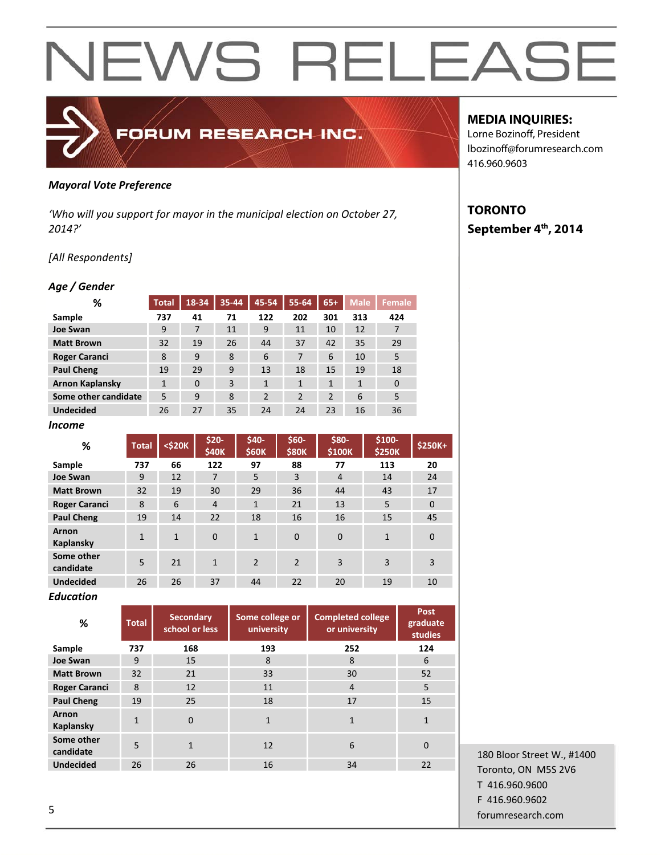## *Mayoral Vote Preference*

*'Who will you support for mayor in the municipal election on October 27, 2014?'*

FORUM RESEARCH INC.

### *[All Respondents]*

#### *Age / Gender*

| %                      | <b>Total</b> | 18-34        | 35-44 | 45-54          | 55-64          | $65+$          | <b>Male</b> | Female       |
|------------------------|--------------|--------------|-------|----------------|----------------|----------------|-------------|--------------|
| Sample                 | 737          | 41           | 71    | 122            | 202            | 301            | 313         | 424          |
| <b>Joe Swan</b>        | 9            | 7            | 11    | 9              | 11             | 10             | 12          | 7            |
| <b>Matt Brown</b>      | 32           | 19           | 26    | 44             | 37             | 42             | 35          | 29           |
| <b>Roger Caranci</b>   | 8            | 9            | 8     | 6              | 7              | 6              | 10          | 5            |
| <b>Paul Cheng</b>      | 19           | 29           | 9     | 13             | 18             | 15             | 19          | 18           |
| <b>Arnon Kaplansky</b> | $\mathbf{1}$ | $\mathbf{0}$ | 3     | $\mathbf{1}$   | $\mathbf{1}$   | $\mathbf{1}$   | 1           | $\mathbf{0}$ |
| Some other candidate   | 5            | 9            | 8     | $\overline{2}$ | $\overline{2}$ | $\overline{2}$ | 6           | 5            |
| <b>Undecided</b>       | 26           | 27           | 35    | 24             | 24             | 23             | 16          | 36           |
| Income                 |              |              |       |                |                |                |             |              |

| $\%$                    | <b>Total</b> | <\$20K       | $$20-$<br><b>\$40K</b> | \$40-<br>\$60K | $$60-$<br><b>\$80K</b> | \$80-<br>\$100K | $$100-$<br>\$250K | $$250K+$ |
|-------------------------|--------------|--------------|------------------------|----------------|------------------------|-----------------|-------------------|----------|
| Sample                  | 737          | 66           | 122                    | 97             | 88                     | 77              | 113               | 20       |
| <b>Joe Swan</b>         | 9            | 12           | 7                      | 5              | 3                      | 4               | 14                | 24       |
| <b>Matt Brown</b>       | 32           | 19           | 30                     | 29             | 36                     | 44              | 43                | 17       |
| <b>Roger Caranci</b>    | 8            | 6            | $\overline{4}$         | $\mathbf{1}$   | 21                     | 13              | 5                 | $\Omega$ |
| <b>Paul Cheng</b>       | 19           | 14           | 22                     | 18             | 16                     | 16              | 15                | 45       |
| Arnon<br>Kaplansky      | 1            | $\mathbf{1}$ | $\Omega$               | $\mathbf{1}$   | $\Omega$               | $\Omega$        | $\mathbf{1}$      | $\Omega$ |
| Some other<br>candidate | 5            | 21           | $\mathbf{1}$           | $\overline{2}$ | $\overline{2}$         | 3               | 3                 | 3        |
| <b>Undecided</b>        | 26           | 26           | 37                     | 44             | 22                     | 20              | 19                | 10       |

#### *Education*

| %                         | <b>Total</b> | <b>Secondary</b><br>school or less | Some college or<br>university | <b>Completed college</b><br>or university | Post<br>graduate<br>studies |
|---------------------------|--------------|------------------------------------|-------------------------------|-------------------------------------------|-----------------------------|
| Sample                    | 737          | 168                                | 193                           | 252                                       | 124                         |
| <b>Joe Swan</b>           | 9            | 15                                 | 8                             | 8                                         | 6                           |
| <b>Matt Brown</b>         | 32           | 21                                 | 33                            | 30                                        | 52                          |
| <b>Roger Caranci</b>      | 8            | 12                                 | 11                            | $\overline{4}$                            | 5                           |
| <b>Paul Cheng</b>         | 19           | 25                                 | 18                            | 17                                        | 15                          |
| <b>Arnon</b><br>Kaplansky | 1            | 0                                  | $\mathbf{1}$                  | $\mathbf{1}$                              | $\mathbf{1}$                |
| Some other<br>candidate   | 5            | $\mathbf{1}$                       | 12                            | 6                                         | $\Omega$                    |
| <b>Undecided</b>          | 26           | 26                                 | 16                            | 34                                        | 22                          |

## **MEDIA INQUIRIES:**

Lorne Bozinoff, President lbozinoff@forumresearch.com 416.960.9603

## **TORONTO September 4th, 2014**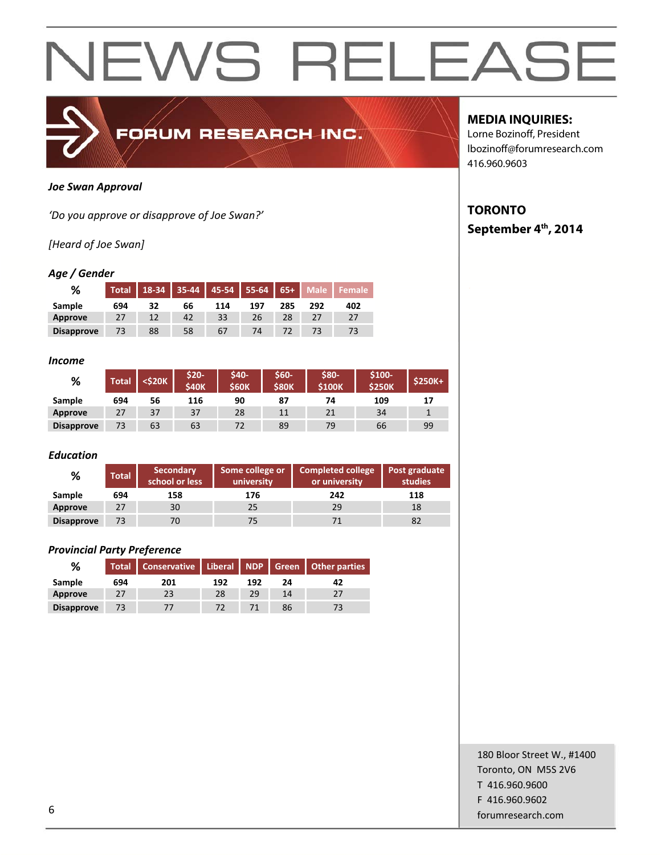

#### *Joe Swan Approval*

*'Do you approve or disapprove of Joe Swan?'*

## *[Heard of Joe Swan]*

### *Age / Gender*

| %                 | <b>Total</b> | $18 - 34$ |    | 35-44   45-54   55-64 |     | $65 +$ | $\overline{\phantom{a}}$ Male |     |
|-------------------|--------------|-----------|----|-----------------------|-----|--------|-------------------------------|-----|
| Sample            | 694          | 32        | 66 | 114                   | 197 | 285    | 292                           | 402 |
| Approve           |              |           | 42 | 33                    | 26  |        |                               |     |
| <b>Disapprove</b> |              | 88        | 58 | 67                    | 74  |        |                               | 73  |

#### *Income*

| %                 | Total | <\$20K | \$20-<br><b>S40K</b> | <b>S40-</b><br><b>\$60K</b> | \$60-<br><b>S80K</b> | \$80-<br><b>S100K</b> | \$100-<br><b>\$250K</b> | \$250K+ |
|-------------------|-------|--------|----------------------|-----------------------------|----------------------|-----------------------|-------------------------|---------|
| Sample            | 694   | 56     | 116                  | 90                          | 87                   | 74                    | 109                     |         |
| <b>Approve</b>    | 27    | 37     | 37                   | 28                          | 11                   | 21                    | 34                      |         |
| <b>Disapprove</b> | 73    | 63     | 63                   | 72                          | 89                   | 79                    | 66                      | 99      |

### *Education*

| %                 | <b>Total</b> | <b>Secondary</b><br>school or less | Some college or<br>university | Completed college<br>or university | Post graduate<br>studies |
|-------------------|--------------|------------------------------------|-------------------------------|------------------------------------|--------------------------|
| Sample            | 694          | 158                                | 176                           | 242                                | 118                      |
| Approve           | 27           | 30                                 | 25                            | 29                                 | 18                       |
| <b>Disapprove</b> | 73           |                                    | 75                            |                                    | 82                       |

### *Provincial Party Preference*

| %                 |     | Total   Conservative   Liberal   NDP   Green   Other parties |     |     |    |    |
|-------------------|-----|--------------------------------------------------------------|-----|-----|----|----|
| Sample            | 694 | 201                                                          | 192 | 192 | 24 | 42 |
| Approve           | 27  | 23                                                           | 28  | 29  | 14 |    |
| <b>Disapprove</b> | 73  |                                                              | 72  |     | 86 |    |

## **MEDIA INQUIRIES:**

Lorne Bozinoff, President lbozinoff@forumresearch.com 416.960.9603

## **TORONTO September 4th, 2014**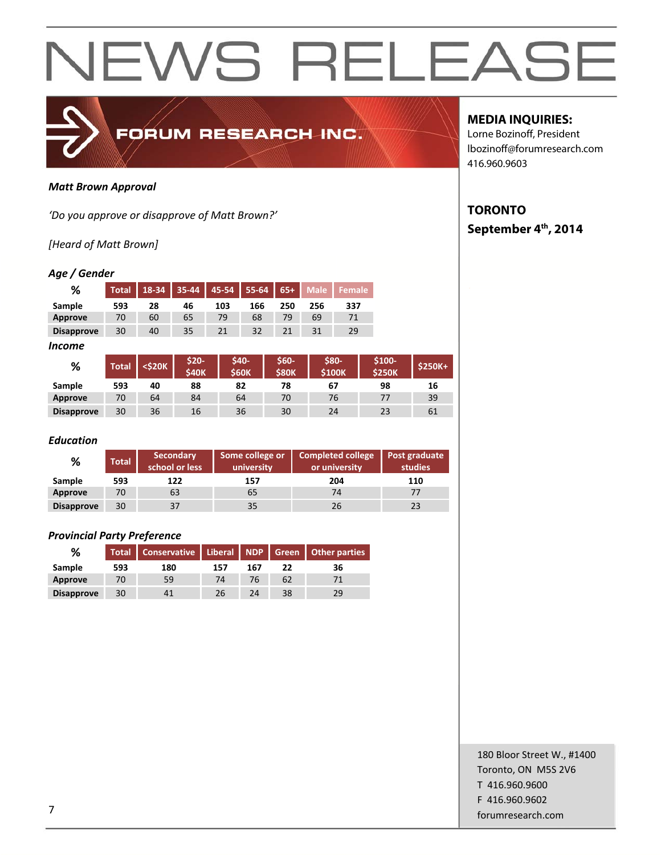

#### *Matt Brown Approval*

*'Do you approve or disapprove of Matt Brown?'*

## *[Heard of Matt Brown]*

### *Age / Gender*

| %                 | Total | 18-34 | $35 - 44$ | $45 - 54$ | $55-64$ | $65+$ | <b>Male</b> |     |
|-------------------|-------|-------|-----------|-----------|---------|-------|-------------|-----|
| Sample            | 593   | 28    | 46        | 103       | 166     | 250   | 256         | 337 |
| Approve           | 70    | 60    | 65        | 79        | 68      | 79    | 69          |     |
| <b>Disapprove</b> | 30    | 40    | 35        | 21        | 32      |       | 31          | 29  |

#### *Income*

| %                 | <b>Total</b> | <\$20K | \$20-<br><b>\$40K</b> | <b>S40-</b><br><b>\$60K</b> | \$60-<br><b>S80K</b> | \$80-<br><b>\$100K</b> | \$100-<br><b>\$250K</b> | $$250K+$ |
|-------------------|--------------|--------|-----------------------|-----------------------------|----------------------|------------------------|-------------------------|----------|
| Sample            | 593          | 40     | 88                    | 82                          | 78                   | 67                     | 98                      | 16       |
| Approve           | 70           | 64     | 84                    | 64                          | 70                   | 76                     | 77                      | 39       |
| <b>Disapprove</b> | 30           | 36     | 16                    | 36                          | 30                   | 24                     | 23                      | 61       |

### *Education*

| %                 | <b>Total</b> | <b>Secondary</b><br>school or less | Some college or<br>university | <b>Completed college</b><br>or university | Post graduate<br>studies |
|-------------------|--------------|------------------------------------|-------------------------------|-------------------------------------------|--------------------------|
| Sample            | 593          | 122                                | 157                           | 204                                       | 110                      |
| Approve           | 70           | 63                                 | 65                            | 74                                        |                          |
| <b>Disapprove</b> | 30           |                                    | 35                            | 26                                        | 23                       |

#### *Provincial Party Preference*

| ℅                 |     | Total   Conservative   Liberal   NDP   Green   Other parties |     |     |    |    |
|-------------------|-----|--------------------------------------------------------------|-----|-----|----|----|
| Sample            | 593 | 180                                                          | 157 | 167 | 22 | 36 |
| Approve           | 70  | 59                                                           | 74  | 76  | 62 |    |
| <b>Disapprove</b> | 30  |                                                              | 26  | 24  | 38 | 29 |

## **MEDIA INQUIRIES:**

Lorne Bozinoff, President lbozinoff@forumresearch.com 416.960.9603

## **TORONTO September 4th, 2014**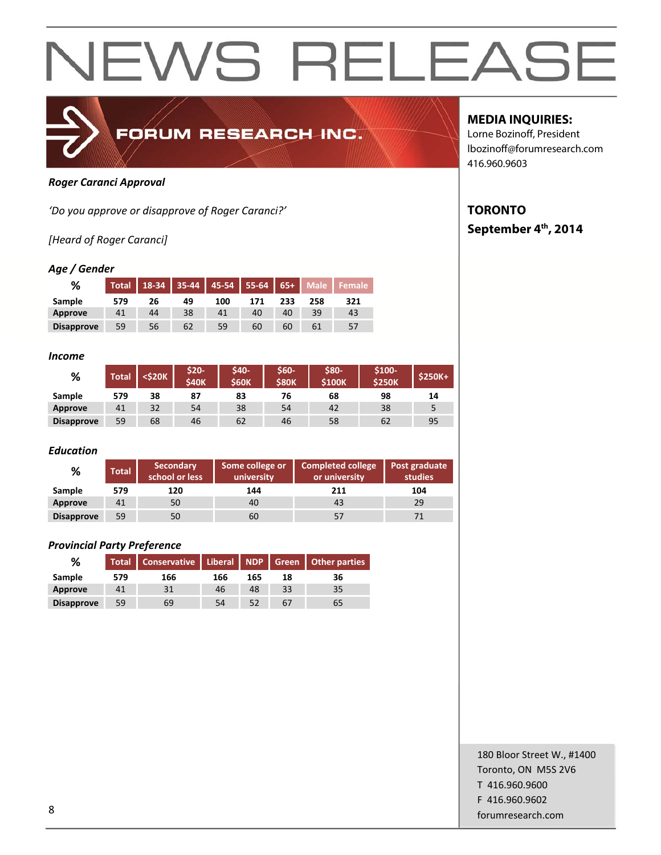

### *Roger Caranci Approval*

*'Do you approve or disapprove of Roger Caranci?'*

## *[Heard of Roger Caranci]*

#### *Age / Gender*

| %                 | <b>Total</b> | 18-34 | $35 - 44$ | 45-54 | $155-64$ | $65+$ | <b>Male</b> |     |
|-------------------|--------------|-------|-----------|-------|----------|-------|-------------|-----|
| Sample            | 579          | 26    | 49        | 100   | 171      | 233   | 258         | 321 |
| Approve           | 41           | 44    | 38        | 41    | 40       | 40    | 39          | 43  |
| <b>Disapprove</b> | 59           | 56    | 62        | 59    | 60       | 60    | 61          | 57  |

#### *Income*

| %                 | <b>Total</b> | <\$20K | $$20-$<br><b>S40K</b> | \$40-<br><b>S60K</b> | \$60-<br><b>\$80K</b> | \$80-<br><b>S100K</b> | \$100-<br><b>\$250K</b> | <b>\$250K+</b> |
|-------------------|--------------|--------|-----------------------|----------------------|-----------------------|-----------------------|-------------------------|----------------|
| Sample            | 579          | 38     | 87                    | 83                   | 76                    | 68                    | 98                      | 14             |
| <b>Approve</b>    | 41           | 32     | 54                    | 38                   | 54                    | 42                    | 38                      |                |
| <b>Disapprove</b> | 59           | 68     | 46                    | 62                   | 46                    | 58                    | 62                      | 95             |

#### *Education*

| %                 | <b>Total</b> | <b>Secondary</b><br>school or less | Some college or<br>university | Completed college<br>or university | Post graduate<br><b>studies</b> |
|-------------------|--------------|------------------------------------|-------------------------------|------------------------------------|---------------------------------|
| Sample            | 579          | 120                                | 144                           | 211                                | 104                             |
| Approve           | 41           | 50                                 | 40                            | 43                                 | 29                              |
| <b>Disapprove</b> | 59           | 50                                 | 60                            | 57                                 |                                 |

#### *Provincial Party Preference*

| %                 |     | Total Conservative Liberal NDP Green Other parties |     |     |    |    |
|-------------------|-----|----------------------------------------------------|-----|-----|----|----|
| Sample            | 579 | 166                                                | 166 | 165 | 18 | 36 |
| Approve           | 41  | 31                                                 | 46  | 48  | 33 | 35 |
| <b>Disapprove</b> | 59  | 69                                                 | 54  |     | 67 | 65 |

## **MEDIA INQUIRIES:**

Lorne Bozinoff, President lbozinoff@forumresearch.com 416.960.9603

## **TORONTO September 4th, 2014**

180 Bloor Street W., #1400 Toronto, ON M5S 2V6 T 416.960.9600 F 416.960.9602 end to the state of the state of the state of the state of the state of the state of the state of the state of the state of the state of the state of the state of the state of the state of the state of the state of the sta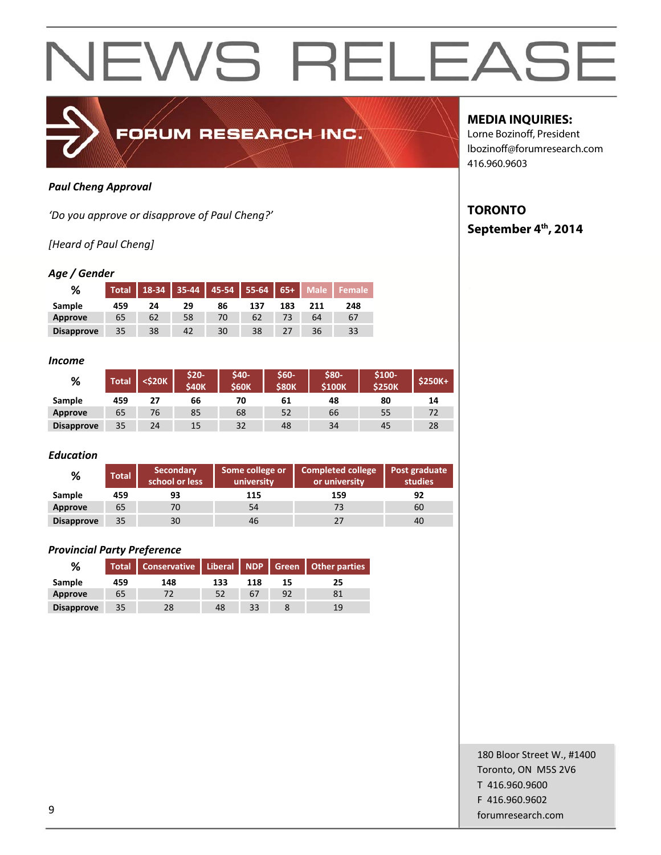

### *Paul Cheng Approval*

*'Do you approve or disapprove of Paul Cheng?'*

## *[Heard of Paul Cheng]*

#### *Age / Gender*

| %                 | <b>Total</b> | 18-34 | $35 - 44$ |    | 45-54   55-64   65+ ' |     | Male | <b>E</b> emale |
|-------------------|--------------|-------|-----------|----|-----------------------|-----|------|----------------|
| Sample            | 459          | 24    | 29        | 86 | 137                   | 183 | 211  | 248            |
| Approve           | 65           | 62    | 58        | 70 | 62                    |     | 64   | 67             |
| <b>Disapprove</b> | 35           | 38    | 42        | 30 | 38                    |     | 36   | 33             |

#### *Income*

| %                 | <b>Total</b> | <\$20K | \$20-<br><b>S40K</b> | \$40-<br><b>S60K</b> | \$60-<br><b>\$80K</b> | \$80-<br><b>\$100K</b> | \$100-<br><b>\$250K</b> | $$250K+$ |
|-------------------|--------------|--------|----------------------|----------------------|-----------------------|------------------------|-------------------------|----------|
| Sample            | 459          | 27     | 66                   | 70                   | 61                    | 48                     | 80                      | 14       |
| Approve           | 65           | 76     | 85                   | 68                   | 52                    | 66                     | 55                      |          |
| <b>Disapprove</b> | 35           | 24     | 15                   | 32                   | 48                    | 34                     | 45                      | 28       |

#### *Education*

| %                 | Total | <b>Secondary</b><br>school or less | Some college or<br>university | <b>Completed college</b><br>or university | Post graduate<br>studies |
|-------------------|-------|------------------------------------|-------------------------------|-------------------------------------------|--------------------------|
| Sample            | 459   | 93                                 | 115                           | 159                                       | 92                       |
| Approve           | 65    | 70                                 | 54                            | 73                                        | 60                       |
| <b>Disapprove</b> | 35    | 30                                 | 46                            | 27                                        | 40                       |

### *Provincial Party Preference*

| %                 |     | Total   Conservative   Liberal   NDP   Green   Other parties |     |     |    |    |
|-------------------|-----|--------------------------------------------------------------|-----|-----|----|----|
| Sample            | 459 | 148                                                          | 133 | 118 | 15 | 25 |
| Approve           | 65  | 72                                                           | 52  | 67  | 92 |    |
| <b>Disapprove</b> | 35  | 28                                                           | 48  | 33  |    | 19 |

## **MEDIA INQUIRIES:**

Lorne Bozinoff, President lbozinoff@forumresearch.com 416.960.9603

## **TORONTO September 4th, 2014**

180 Bloor Street W., #1400 Toronto, ON M5S 2V6 T 416.960.9600 F 416.960.9602 example to the contract of the contract of the contract of the contract of the contract of the contract of the contract of the contract of the contract of the contract of the contract of the contract of the contract of the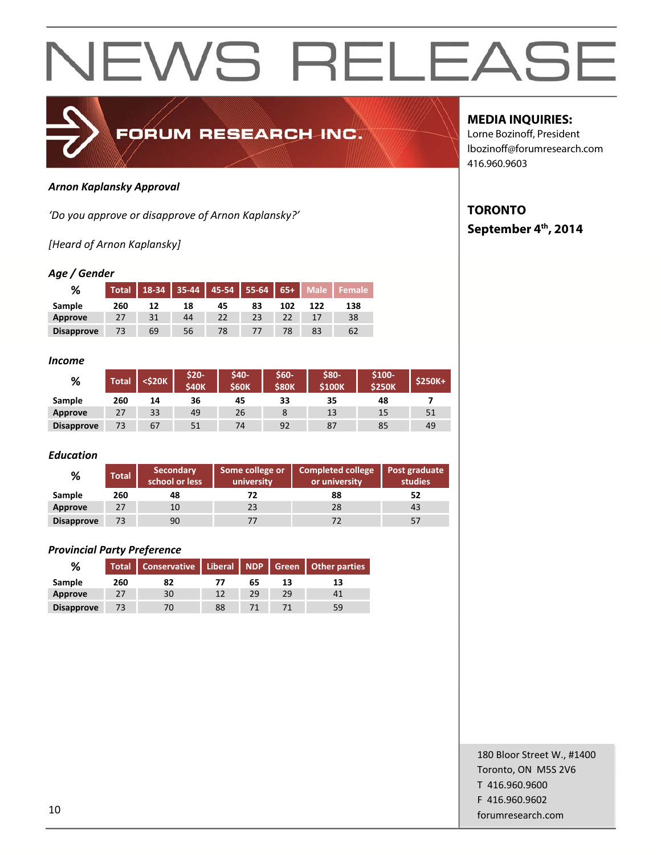

#### *Arnon Kaplansky Approval*

*'Do you approve or disapprove of Arnon Kaplansky?'*

*[Heard of Arnon Kaplansky]*

### *Age / Gender*

| %                 | <b>Total</b> | 18-34 | 35-44 | 45-54 | $55 - 64$ | $65+$ | <b>Male</b> |     |
|-------------------|--------------|-------|-------|-------|-----------|-------|-------------|-----|
| Sample            | 260          | 12    | 18    | 45    | 83        | 102   | 122         | 138 |
| Approve           |              | 31    | 44    | 22    | 23        |       |             | 38  |
| <b>Disapprove</b> |              | 69    | 56    | 78    | 77        |       | 83          | 62  |

#### *Income*

| %                 | Total | <\$20K | \$20-<br><b>\$40K</b> | <b>S40-</b><br><b>\$60K</b> | \$60-<br><b>\$80K</b> | \$80-<br><b>\$100K</b> | $$100-$<br><b>\$250K</b> | $$250K+$ |
|-------------------|-------|--------|-----------------------|-----------------------------|-----------------------|------------------------|--------------------------|----------|
| Sample            | 260   | 14     | 36                    | 45                          | 33                    | 35                     | 48                       |          |
| Approve           | 27    | 33     | 49                    | 26                          |                       | 13                     | 15                       | 51       |
| <b>Disapprove</b> | 73    | 67     | 51                    | 74                          | 92                    | 87                     | 85                       | 49       |

### *Education*

| %                 | <b>Total</b> | <b>Secondary</b><br>school or less | Some college or<br>university | <b>Completed college</b><br>or university | Post graduate<br>studies |
|-------------------|--------------|------------------------------------|-------------------------------|-------------------------------------------|--------------------------|
| Sample            | 260          | 48                                 |                               | 88                                        | 52                       |
| Approve           | 27           | 10                                 | 23                            | 28                                        | 43                       |
| <b>Disapprove</b> | 73           | 90                                 |                               |                                           | 57                       |

## *Provincial Party Preference*

| %                 |     | Total   Conservative   Liberal   NDP   Green   Other parties |    |    |    |    |
|-------------------|-----|--------------------------------------------------------------|----|----|----|----|
| Sample            | 260 | 82                                                           |    | 65 | 13 | 13 |
| Approve           | 27  | 30                                                           | 12 | 29 | 29 |    |
| <b>Disapprove</b> |     | 70                                                           | 88 |    |    | 59 |

## **MEDIA INQUIRIES:**

Lorne Bozinoff, President lbozinoff@forumresearch.com 416.960.9603

## **TORONTO September 4th, 2014**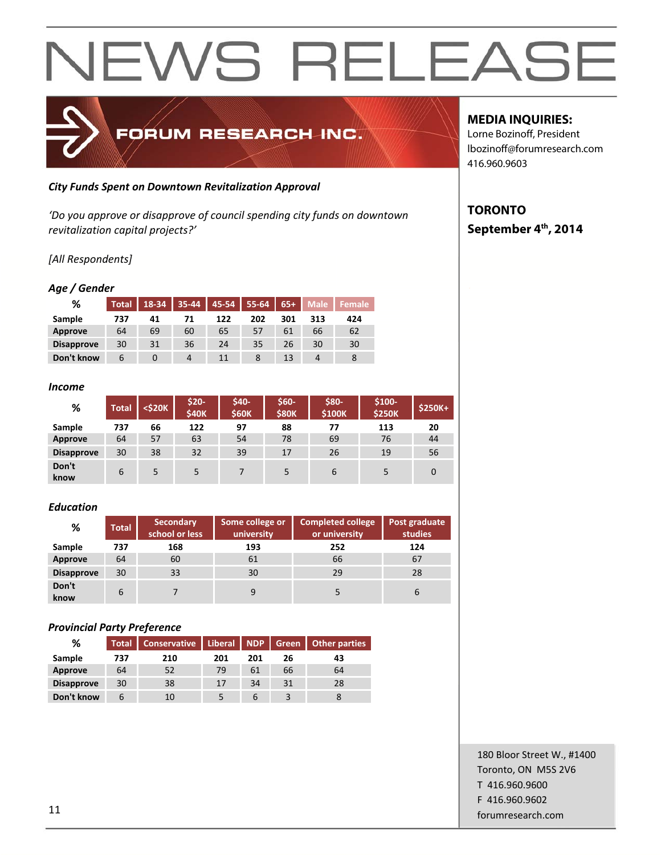

## *City Funds Spent on Downtown Revitalization Approval*

*'Do you approve or disapprove of council spending city funds on downtown revitalization capital projects?'*

## *[All Respondents]*

### *Age / Gender*

| %                 | <b>Total</b> | 18-34 | $35 - 44$ | 45-54 | 55-64 | $65+$ | <b>Male</b> | Female |
|-------------------|--------------|-------|-----------|-------|-------|-------|-------------|--------|
| Sample            | 737          | 41    | 71        | 122   | 202   | 301   | 313         | 424    |
| Approve           | 64           | 69    | 60        | 65    | 57    | 61    | 66          | 62     |
| <b>Disapprove</b> | 30           | 31    | 36        | 24    | 35    | 26    | 30          | 30     |
| Don't know        | 6            | O     | 4         | 11    | 8     | 13    | Δ           | 8      |

#### *Income*

| %                 | <b>Total</b> | $<$ \$20 $K$ | \$20-<br><b>\$40K</b> | \$40-<br><b>\$60K</b> | \$60-<br><b>\$80K</b> | \$80-<br>\$100K | $$100-$<br><b>\$250K</b> | $$250K+$ |
|-------------------|--------------|--------------|-----------------------|-----------------------|-----------------------|-----------------|--------------------------|----------|
| Sample            | 737          | 66           | 122                   | 97                    | 88                    | 77              | 113                      | 20       |
| Approve           | 64           | 57           | 63                    | 54                    | 78                    | 69              | 76                       | 44       |
| <b>Disapprove</b> | 30           | 38           | 32                    | 39                    | 17                    | 26              | 19                       | 56       |
| Don't<br>know     | 6            | 5            | 5                     |                       | 5                     | 6               |                          | 0        |

### *Education*

| ℅                 | <b>Total</b> | <b>Secondary</b><br>school or less | Some college or<br>university | <b>Completed college</b><br>or university | Post graduate<br><b>studies</b> |
|-------------------|--------------|------------------------------------|-------------------------------|-------------------------------------------|---------------------------------|
| Sample            | 737          | 168                                | 193                           | 252                                       | 124                             |
| <b>Approve</b>    | 64           | 60                                 | 61                            | 66                                        | 67                              |
| <b>Disapprove</b> | 30           | 33                                 | 30                            | 29                                        | 28                              |
| Don't<br>know     | 6            |                                    | 9                             |                                           | b                               |

### *Provincial Party Preference*

| %                 | <b>Total</b> | <b>Conservative</b> | Liberal NDP |     |    | Green Other parties |
|-------------------|--------------|---------------------|-------------|-----|----|---------------------|
| Sample            | 737          | 210                 | 201         | 201 | 26 | 43                  |
| <b>Approve</b>    | 64           | 52                  | 79          | 61  | 66 | 64                  |
| <b>Disapprove</b> | 30           | 38                  | 17          | 34  | 31 | 28                  |
| Don't know        | b            | 10                  |             | b   |    |                     |

## **MEDIA INQUIRIES:**

Lorne Bozinoff, President lbozinoff@forumresearch.com 416.960.9603

## **TORONTO September 4th, 2014**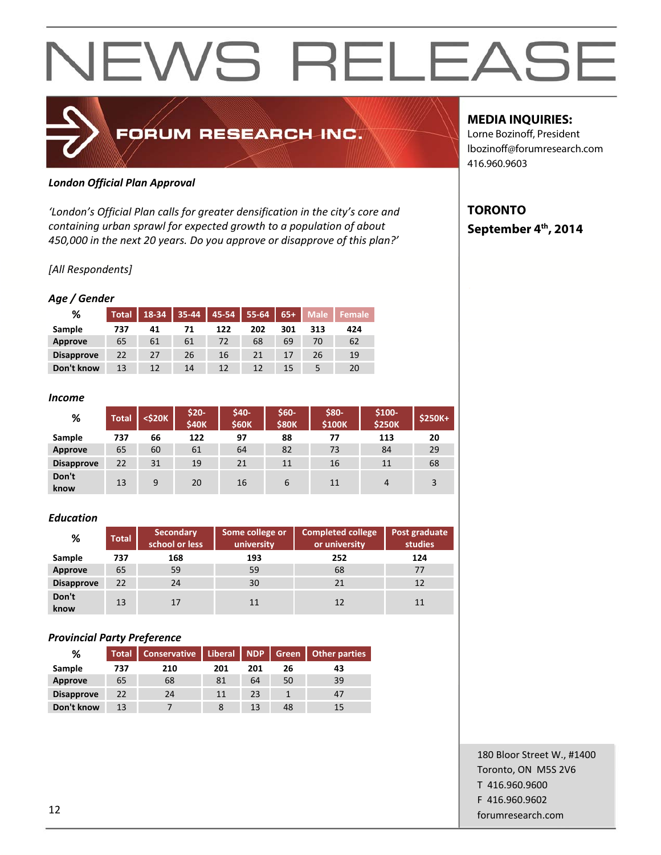## FORUM RESEARCH INC.

## *London Official Plan Approval*

*'London's Official Plan calls for greater densification in the city's core and containing urban sprawl for expected growth to a population of about 450,000 in the next 20 years. Do you approve or disapprove of this plan?'*

## *[All Respondents]*

## *Age / Gender*

| %                 | <b>Total</b> | 18-34 | $35 - 44$ | $-45-54$ | $55 - 64$ | $65+$ | <b>Male</b> | <b>Female</b> ' |
|-------------------|--------------|-------|-----------|----------|-----------|-------|-------------|-----------------|
| Sample            | 737          | 41    | 71        | 122      | 202       | 301   | 313         | 424             |
| Approve           | 65           | 61    | 61        | 72       | 68        | 69    | 70          | 62              |
| <b>Disapprove</b> | 22           | 27    | 26        | 16       | 21        | 17    | 26          | 19              |
| Don't know        | 13           | 12    | 14        | 12       | 12        | 15    |             | 20              |

#### *Income*

| %                 | Total | <\$20K | \$20-<br><b>\$40K</b> | \$40-<br><b>S60K</b> | \$60-<br><b>\$80K</b> | \$80-<br>\$100K | $$100-$<br><b>\$250K</b> | $$250K+$ |
|-------------------|-------|--------|-----------------------|----------------------|-----------------------|-----------------|--------------------------|----------|
| Sample            | 737   | 66     | 122                   | 97                   | 88                    | 77              | 113                      | 20       |
| <b>Approve</b>    | 65    | 60     | 61                    | 64                   | 82                    | 73              | 84                       | 29       |
| <b>Disapprove</b> | 22    | 31     | 19                    | 21                   | 11                    | 16              | 11                       | 68       |
| Don't<br>know     | 13    | 9      | 20                    | 16                   | 6                     | 11              | 4                        | 3        |

### *Education*

| %                 | <b>Total</b> | <b>Secondary</b><br>school or less | Some college or<br>university | <b>Completed college</b><br>or university | Post graduate<br>studies |
|-------------------|--------------|------------------------------------|-------------------------------|-------------------------------------------|--------------------------|
| Sample            | 737          | 168                                | 193                           | 252                                       | 124                      |
| <b>Approve</b>    | 65           | 59                                 | 59                            | 68                                        | 77                       |
| <b>Disapprove</b> | 22           | 24                                 | 30                            | 21                                        | 12                       |
| Don't<br>know     | 13           | 17                                 | 11                            | 12                                        | 11                       |

## *Provincial Party Preference*

| %                 | <b>Total</b> | <b>Conservative</b> | Liberal   NDP |     | Green | Other parties  |
|-------------------|--------------|---------------------|---------------|-----|-------|----------------|
| Sample            | 737          | 210                 | 201           | 201 | 26    | 43             |
| Approve           | 65           | 68                  | 81            | 64  | 50    | 39             |
| <b>Disapprove</b> | 22           | 24                  | 11            | 23  |       | 4 <sub>l</sub> |
| Don't know        | 13           |                     |               | 13  | 48    | 15             |

## **MEDIA INQUIRIES:**

Lorne Bozinoff, President lbozinoff@forumresearch.com 416.960.9603

## **TORONTO September 4th, 2014**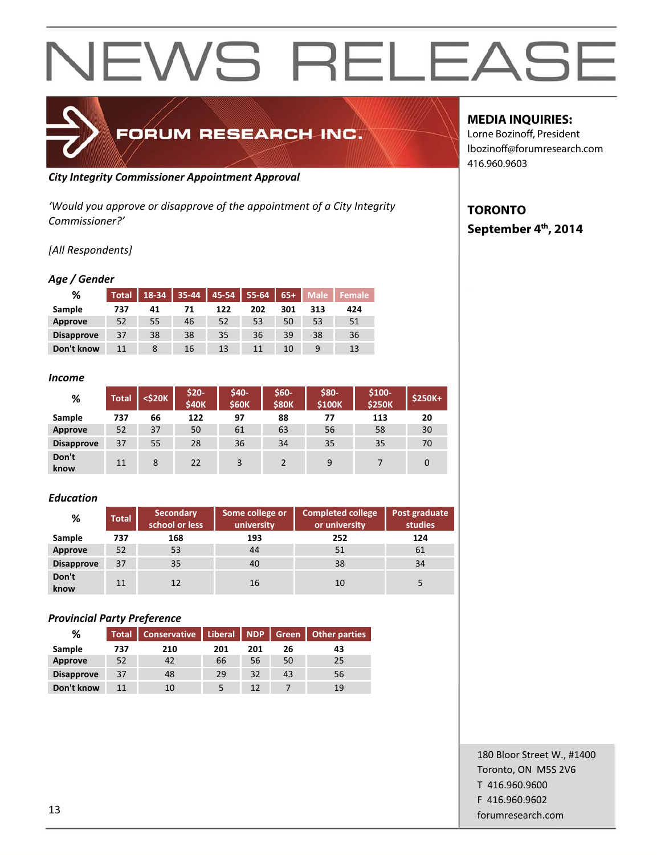

## *City Integrity Commissioner Appointment Approval*

*'Would you approve or disapprove of the appointment of a City Integrity Commissioner?'*

## *[All Respondents]*

## *Age / Gender*

| %                 | Total | 18-34 | $35 - 44$ | 45-54 | 55-64 | $65+$ | <b>Male</b> | Female |
|-------------------|-------|-------|-----------|-------|-------|-------|-------------|--------|
| Sample            | 737   | 41    | 71        | 122   | 202   | 301   | 313         | 424    |
| <b>Approve</b>    | 52    | 55    | 46        | 52    | 53    | 50    | 53          | 51     |
| <b>Disapprove</b> | 37    | 38    | 38        | 35    | 36    | 39    | 38          | 36     |
| Don't know        |       |       | 16        | 13    | 11    | 10    |             | 13     |

#### *Income*

| %                 | <b>Total</b> | $<$ \$20 $K$ | \$20-<br><b>\$40K</b> | \$40-<br><b>\$60K</b> | \$60-<br><b>\$80K</b> | \$80-<br>\$100K | $$100-$<br><b>\$250K</b> | \$250K+ |
|-------------------|--------------|--------------|-----------------------|-----------------------|-----------------------|-----------------|--------------------------|---------|
| Sample            | 737          | 66           | 122                   | 97                    | 88                    | 77              | 113                      | 20      |
| Approve           | 52           | 37           | 50                    | 61                    | 63                    | 56              | 58                       | 30      |
| <b>Disapprove</b> | 37           | 55           | 28                    | 36                    | 34                    | 35              | 35                       | 70      |
| Don't<br>know     | 11           | 8            | 22                    | 3                     |                       | 9               |                          | 0       |

### *Education*

| %                 | <b>Total</b> | <b>Secondary</b><br>school or less | Some college or<br>university | <b>Completed college</b><br>or university | Post graduate<br>studies |
|-------------------|--------------|------------------------------------|-------------------------------|-------------------------------------------|--------------------------|
| Sample            | 737          | 168                                | 193                           | 252                                       | 124                      |
| Approve           | 52           | 53                                 | 44                            | 51                                        | 61                       |
| <b>Disapprove</b> | 37           | 35                                 | 40                            | 38                                        | 34                       |
| Don't<br>know     | 11           | 12                                 | 16                            | 10                                        |                          |

## *Provincial Party Preference*

| %                 | Total <sup>'</sup> | <b>Conservative</b> | Liberal   NDP |     | Green | <b>Other parties</b> |
|-------------------|--------------------|---------------------|---------------|-----|-------|----------------------|
| Sample            | 737                | 210                 | 201           | 201 | 26    | 43                   |
| Approve           | 52                 | 42                  | 66            | 56  | 50    | 25                   |
| <b>Disapprove</b> | 37                 | 48                  | 29            | 32  | 43    | 56                   |
| Don't know        | 11                 | 10                  |               | 12  |       | 19                   |

## **MEDIA INQUIRIES:**

Lorne Bozinoff, President lbozinoff@forumresearch.com 416.960.9603

## **TORONTO September 4th, 2014**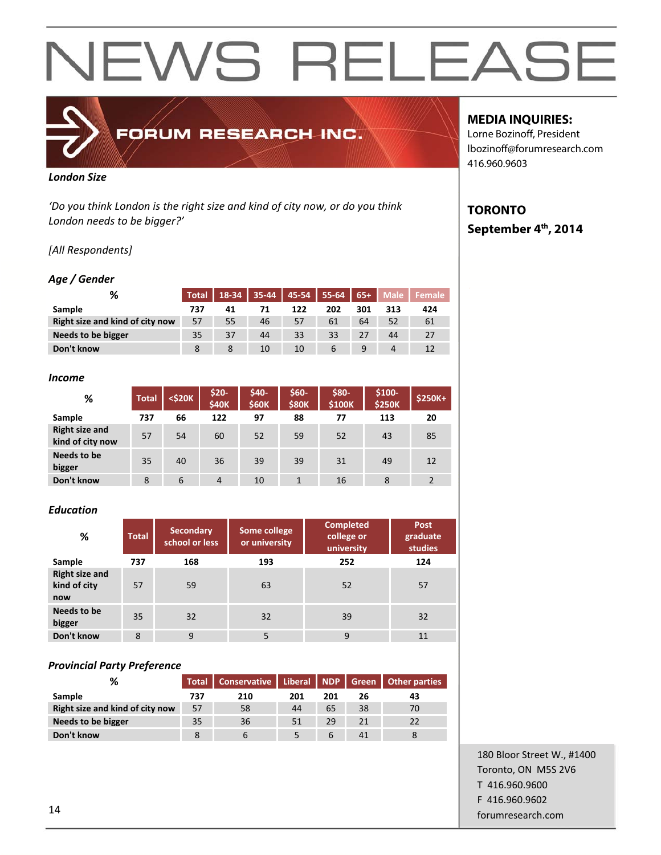## FORUM RESEARCH INC.

#### *London Size*

*'Do you think London is the right size and kind of city now, or do you think London needs to be bigger?'*

## *[All Respondents]*

## *Age / Gender*

| %                               | <b>Total</b> |    | 18-34 35-44 45-54 55-64 65+ |     |     |     |     | Male   Female |
|---------------------------------|--------------|----|-----------------------------|-----|-----|-----|-----|---------------|
| Sample                          | 737          | 41 | 71                          | 122 | 202 | 301 | 313 | 424           |
| Right size and kind of city now | 57           | 55 | 46                          | 57  | 61  | 64  | 52  | 61            |
| Needs to be bigger              | 35           | 37 | 44                          | 33  | 33  | 27  | 44  | 27            |
| Don't know                      |              | 8  | 10                          | 10  | 6   | 9   | Δ   |               |

#### *Income*

| %                                         | <b>Total</b> | <\$20K | \$20-<br><b>\$40K</b> | \$40-<br><b>\$60K</b> | \$60-<br><b>S80K</b> | \$80-<br><b>\$100K</b> | \$100-<br><b>\$250K</b> | $$250K+$ |
|-------------------------------------------|--------------|--------|-----------------------|-----------------------|----------------------|------------------------|-------------------------|----------|
| Sample                                    | 737          | 66     | 122                   | 97                    | 88                   | 77                     | 113                     | 20       |
| <b>Right size and</b><br>kind of city now | 57           | 54     | 60                    | 52                    | 59                   | 52                     | 43                      | 85       |
| Needs to be<br>bigger                     | 35           | 40     | 36                    | 39                    | 39                   | 31                     | 49                      | 12       |
| Don't know                                | 8            | 6      | $\overline{4}$        | 10                    |                      | 16                     | 8                       | 2        |

### *Education*

| %                                            | <b>Total</b> | <b>Secondary</b><br>school or less | Some college<br>or university | <b>Completed</b><br>college or<br>university | Post<br>graduate<br>studies |
|----------------------------------------------|--------------|------------------------------------|-------------------------------|----------------------------------------------|-----------------------------|
| Sample                                       | 737          | 168                                | 193                           | 252                                          | 124                         |
| <b>Right size and</b><br>kind of city<br>now | 57           | 59                                 | 63                            | 52                                           | 57                          |
| Needs to be<br>bigger                        | 35           | 32                                 | 32                            | 39                                           | 32                          |
| Don't know                                   | 8            | 9                                  | 5                             | 9                                            | 11                          |

### *Provincial Party Preference*

| %                               | <b>Total</b> | Conservative |     |     |    | Liberal   NDP   Green   Other parties |  |
|---------------------------------|--------------|--------------|-----|-----|----|---------------------------------------|--|
| <b>Sample</b>                   | 737          | 210          | 201 | 201 | 26 | 43                                    |  |
| Right size and kind of city now | 57           | 58           | 44  | 65  | 38 | 70                                    |  |
| Needs to be bigger              | 35           | 36           | 51  | 29  | 21 | 22                                    |  |
| Don't know                      |              | $\mathbf b$  |     | b   | 41 |                                       |  |

## **MEDIA INQUIRIES:**

Lorne Bozinoff, President lbozinoff@forumresearch.com 416.960.9603

## **TORONTO September 4th, 2014**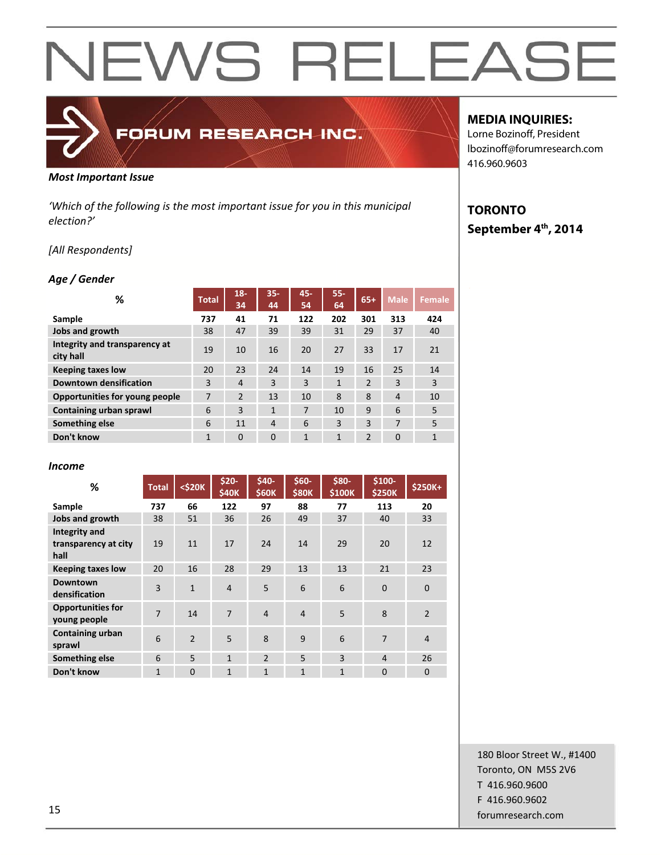## FORUM RESEARCH INC.

#### *Most Important Issue*

*'Which of the following is the most important issue for you in this municipal election?'*

## *[All Respondents]*

## *Age / Gender*

| ℅                                          | <b>Total</b> | $18 -$<br>34   | $35 -$<br>44   | 45-<br>54 | $55 -$<br>64 | $65+$          | <b>Male</b>    | Female       |
|--------------------------------------------|--------------|----------------|----------------|-----------|--------------|----------------|----------------|--------------|
| Sample                                     | 737          | 41             | 71             | 122       | 202          | 301            | 313            | 424          |
| Jobs and growth                            | 38           | 47             | 39             | 39        | 31           | 29             | 37             | 40           |
| Integrity and transparency at<br>city hall | 19           | 10             | 16             | 20        | 27           | 33             | 17             | 21           |
| <b>Keeping taxes low</b>                   | 20           | 23             | 24             | 14        | 19           | 16             | 25             | 14           |
| <b>Downtown densification</b>              | 3            | 4              | 3              | 3         | $\mathbf{1}$ | $\overline{2}$ | 3              | 3            |
| Opportunities for young people             | 7            | $\overline{2}$ | 13             | 10        | 8            | 8              | $\overline{4}$ | 10           |
| Containing urban sprawl                    | 6            | 3              | $\mathbf{1}$   | 7         | 10           | 9              | 6              | 5            |
| Something else                             | 6            | 11             | $\overline{4}$ | 6         | 3            | 3              | 7              | 5            |
| Don't know                                 | $\mathbf{1}$ | $\Omega$       | $\Omega$       | 1         | $\mathbf{1}$ | $\overline{2}$ | $\mathbf{0}$   | $\mathbf{1}$ |

#### *Income*

| %                                                    | <b>Total</b> | $<$ \$20 $K$  | \$20-<br><b>\$40K</b> | \$40-<br><b>\$60K</b> | $$60-$<br><b>\$80K</b> | \$80-<br>\$100K | \$100-<br><b>\$250K</b> | \$250K+        |
|------------------------------------------------------|--------------|---------------|-----------------------|-----------------------|------------------------|-----------------|-------------------------|----------------|
| Sample                                               | 737          | 66            | 122                   | 97                    | 88                     | 77              | 113                     | 20             |
| Jobs and growth                                      | 38           | 51            | 36                    | 26                    | 49                     | 37              | 40                      | 33             |
| <b>Integrity and</b><br>transparency at city<br>hall | 19           | 11            | 17                    | 24                    | 14                     | 29              | 20                      | 12             |
| <b>Keeping taxes low</b>                             | 20           | 16            | 28                    | 29                    | 13                     | 13              | 21                      | 23             |
| Downtown<br>densification                            | 3            | $\mathbf{1}$  | $\overline{4}$        | 5                     | 6                      | 6               | $\overline{0}$          | $\mathbf 0$    |
| <b>Opportunities for</b><br>young people             | 7            | 14            | $\overline{7}$        | $\overline{a}$        | $\overline{4}$         | 5               | 8                       | $\overline{2}$ |
| <b>Containing urban</b><br>sprawl                    | 6            | $\mathcal{P}$ | 5                     | 8                     | 9                      | 6               | $\overline{7}$          | $\overline{4}$ |
| Something else                                       | 6            | 5             | $\mathbf{1}$          | $\overline{2}$        | 5                      | $\overline{3}$  | $\overline{4}$          | 26             |
| Don't know                                           | $\mathbf{1}$ | $\Omega$      | $\mathbf{1}$          | $\mathbf{1}$          | $\mathbf{1}$           | $\mathbf{1}$    | $\Omega$                | $\Omega$       |

## **MEDIA INQUIRIES:**

Lorne Bozinoff, President lbozinoff@forumresearch.com 416.960.9603

## **TORONTO September 4th, 2014**